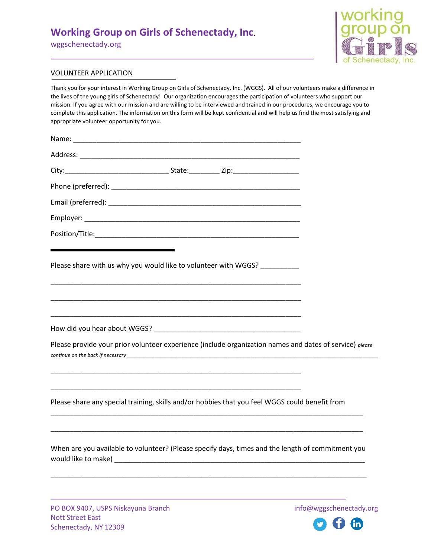## **Working Group on Girls of Schenectady, Inc**.

wggschenectady.org



## VOLUNTEER APPLICATION

Thank you for your interest in Working Group on Girls of Schenectady, Inc. (WGGS). All of our volunteers make a difference in the lives of the young girls of Schenectady! Our organization encourages the participation of volunteers who support our mission. If you agree with our mission and are willing to be interviewed and trained in our procedures, we encourage you to complete this application. The information on this form will be kept confidential and will help us find the most satisfying and appropriate volunteer opportunity for you.

| the contract of the contract of the contract of the                                                     |  |
|---------------------------------------------------------------------------------------------------------|--|
| Please share with us why you would like to volunteer with WGGS?                                         |  |
|                                                                                                         |  |
|                                                                                                         |  |
|                                                                                                         |  |
|                                                                                                         |  |
| Please provide your prior volunteer experience (include organization names and dates of service) please |  |
|                                                                                                         |  |
| Please share any special training, skills and/or hobbies that you feel WGGS could benefit from          |  |
|                                                                                                         |  |
| When are you available to volunteer? (Please specify days, times and the length of commitment you       |  |
|                                                                                                         |  |